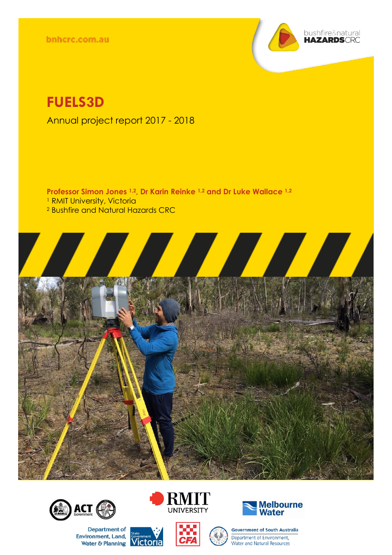bnhcrc.com.au



# **FUELS3D**

Annual project report 2017 - 2018

**Professor Simon Jones 1,2, Dr Karin Reinke 1,2 and Dr Luke Wallace 1,2** <sup>1</sup> RMIT University, Victoria <sup>2</sup> Bushfire and Natural Hazards CRC





Department of **Environment, Land,** nvironment, Land, Government V<br>Water & Planning Victoria





**Government of South Australia** Department of Environment, Water and Natural Resources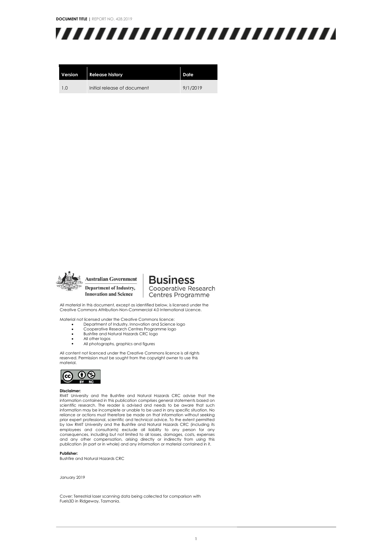**DOCUMENT TITLE |** REPORT NO. 428.2019



| Version | <b>Release history</b>      | <b>Date</b> |
|---------|-----------------------------|-------------|
| 1.0     | Initial release of document | 9/1/2019    |



**Australian Government** Department of Industry, **Innovation and Science** 

**Business** Cooperative Research Centres Programme

All material in this document, except as identified below, is licensed under the Creative Commons Attribution-Non-Commercial 4.0 International Licence.

Material not licensed under the Creative Commons licence: • Department of Industry, Innovation and Science logo

- 
- Cooperative Research Centres Programme logo • Bushfire and Natural Hazards CRC logo
- All other logos
- All photographs, graphics and figures

All content not licenced under the Creative Commons licence is all rights reserved. Permission must be sought from the copyright owner to use this material.



#### **Disclaimer:**

RMIT University and the Bushfire and Natural Hazards CRC advise that the information contained in this publication comprises general statements based on scientific research. The reader is advised and needs to be aware that such information may be incomplete or unable to be used in any specific situation. No reliance or actions must therefore be made on that information without seeking prior expert professional, scientific and technical advice. To the extent permitted by law RMIT University and the Bushfire and Natural Hazards CRC (including its employees and consultants) exclude all liability to any person for any consequences, including but not limited to all losses, damages, costs, expenses<br>and any other compensation, arising directly or indirectly from using this<br>publication (in part or in whole) and any information or

#### **Publisher:**

Bushfire and Natural Hazards CRC

#### January 2019

Cover: Terrestrial laser scanning data being collected for comparison with Fuels3D in Ridgeway, Tasmania.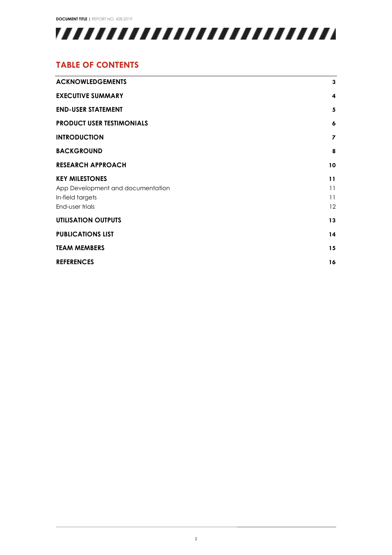**DOCUMENT TITLE |** REPORT NO. 428.2019



#### **TABLE OF CONTENTS**

| 3                       |
|-------------------------|
| $\overline{\mathbf{4}}$ |
| 5                       |
| 6                       |
| 7                       |
| 8                       |
| 10                      |
| 11                      |
| 11                      |
| 11                      |
| 12                      |
| 13                      |
| 14                      |
| 15                      |
| 16                      |
|                         |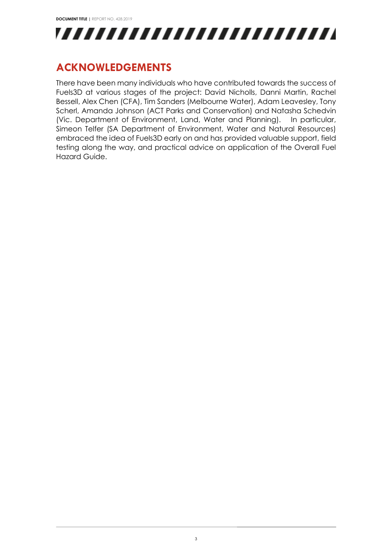

## <span id="page-3-0"></span>**ACKNOWLEDGEMENTS**

There have been many individuals who have contributed towards the success of Fuels3D at various stages of the project: David Nicholls, Danni Martin, Rachel Bessell, Alex Chen (CFA), Tim Sanders (Melbourne Water), Adam Leavesley, Tony Scherl, Amanda Johnson (ACT Parks and Conservation) and Natasha Schedvin (Vic. Department of Environment, Land, Water and Planning). In particular, Simeon Telfer (SA Department of Environment, Water and Natural Resources) embraced the idea of Fuels3D early on and has provided valuable support, field testing along the way, and practical advice on application of the Overall Fuel Hazard Guide.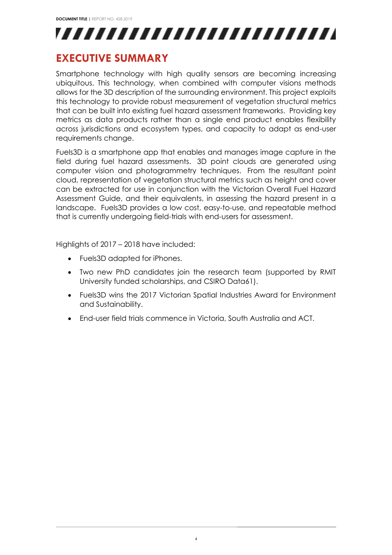

#### <span id="page-4-0"></span>**EXECUTIVE SUMMARY**

Smartphone technology with high quality sensors are becoming increasing ubiquitous. This technology, when combined with computer visions methods allows for the 3D description of the surrounding environment. This project exploits this technology to provide robust measurement of vegetation structural metrics that can be built into existing fuel hazard assessment frameworks. Providing key metrics as data products rather than a single end product enables flexibility across jurisdictions and ecosystem types, and capacity to adapt as end-user requirements change.

Fuels3D is a smartphone app that enables and manages image capture in the field during fuel hazard assessments. 3D point clouds are generated using computer vision and photogrammetry techniques. From the resultant point cloud, representation of vegetation structural metrics such as height and cover can be extracted for use in conjunction with the Victorian Overall Fuel Hazard Assessment Guide, and their equivalents, in assessing the hazard present in a landscape. Fuels3D provides a low cost, easy-to-use, and repeatable method that is currently undergoing field-trials with end-users for assessment.

Highlights of 2017 – 2018 have included:

- Fuels3D adapted for iPhones.
- Two new PhD candidates join the research team (supported by RMIT University funded scholarships, and CSIRO Data61).
- Fuels3D wins the 2017 Victorian Spatial Industries Award for Environment and Sustainability.
- End-user field trials commence in Victoria, South Australia and ACT.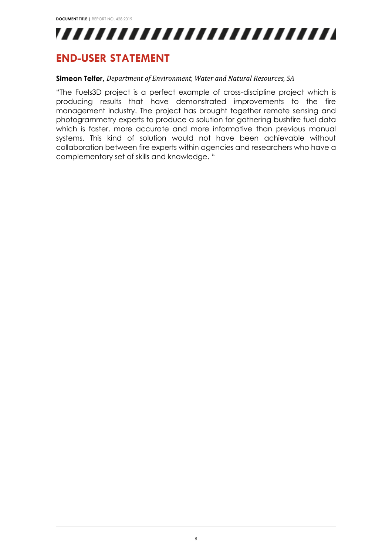

### <span id="page-5-0"></span>**END-USER STATEMENT**

#### **Simeon Telfer,** *Department of Environment, Water and Natural Resources, SA*

"The Fuels3D project is a perfect example of cross-discipline project which is producing results that have demonstrated improvements to the fire management industry. The project has brought together remote sensing and photogrammetry experts to produce a solution for gathering bushfire fuel data which is faster, more accurate and more informative than previous manual systems. This kind of solution would not have been achievable without collaboration between fire experts within agencies and researchers who have a complementary set of skills and knowledge. "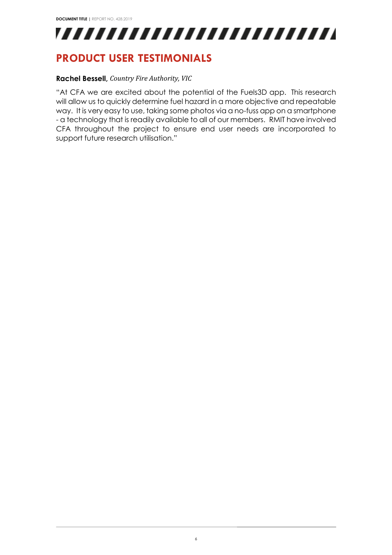

### <span id="page-6-0"></span>**PRODUCT USER TESTIMONIALS**

#### **Rachel Bessell,** *Country Fire Authority, VIC*

"At CFA we are excited about the potential of the Fuels3D app. This research will allow us to quickly determine fuel hazard in a more objective and repeatable way. It is very easy to use, taking some photos via a no-fuss app on a smartphone - a technology that is readily available to all of our members. RMIT have involved CFA throughout the project to ensure end user needs are incorporated to support future research utilisation."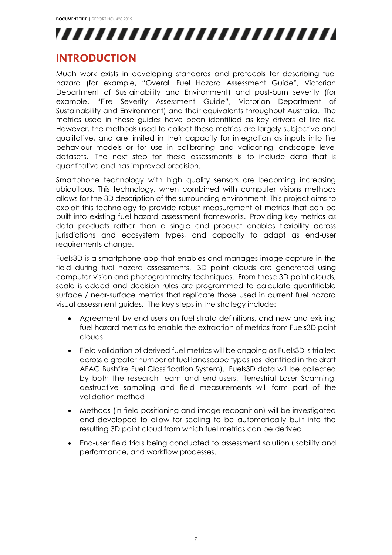

### <span id="page-7-0"></span>**INTRODUCTION**

Much work exists in developing standards and protocols for describing fuel hazard (for example, "Overall Fuel Hazard Assessment Guide", Victorian Department of Sustainability and Environment) and post-burn severity (for example, "Fire Severity Assessment Guide", Victorian Department of Sustainability and Environment) and their equivalents throughout Australia. The metrics used in these guides have been identified as key drivers of fire risk. However, the methods used to collect these metrics are largely subjective and qualitative, and are limited in their capacity for integration as inputs into fire behaviour models or for use in calibrating and validating landscape level datasets. The next step for these assessments is to include data that is quantitative and has improved precision.

Smartphone technology with high quality sensors are becoming increasing ubiquitous. This technology, when combined with computer visions methods allows for the 3D description of the surrounding environment. This project aims to exploit this technology to provide robust measurement of metrics that can be built into existing fuel hazard assessment frameworks. Providing key metrics as data products rather than a single end product enables flexibility across jurisdictions and ecosystem types, and capacity to adapt as end-user requirements change.

Fuels3D is a smartphone app that enables and manages image capture in the field during fuel hazard assessments. 3D point clouds are generated using computer vision and photogrammetry techniques. From these 3D point clouds, scale is added and decision rules are programmed to calculate quantifiable surface / near-surface metrics that replicate those used in current fuel hazard visual assessment guides. The key steps in the strategy include:

- Agreement by end-users on fuel strata definitions, and new and existing fuel hazard metrics to enable the extraction of metrics from Fuels3D point clouds.
- Field validation of derived fuel metrics will be ongoing as Fuels3D is trialled across a greater number of fuel landscape types (as identified in the draft AFAC Bushfire Fuel Classification System). Fuels3D data will be collected by both the research team and end-users. Terrestrial Laser Scanning, destructive sampling and field measurements will form part of the validation method
- Methods (in-field positioning and image recognition) will be investigated and developed to allow for scaling to be automatically built into the resulting 3D point cloud from which fuel metrics can be derived.
- End-user field trials being conducted to assessment solution usability and performance, and workflow processes.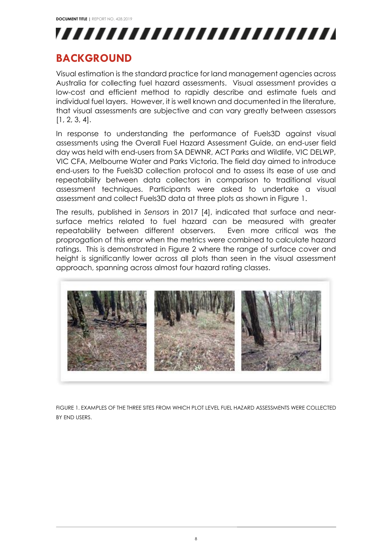

## <span id="page-8-0"></span>**BACKGROUND**

Visual estimation is the standard practice for land management agencies across Australia for collecting fuel hazard assessments. Visual assessment provides a low-cost and efficient method to rapidly describe and estimate fuels and individual fuel layers. However, it is well known and documented in the literature, that visual assessments are subjective and can vary greatly between assessors [1, 2, 3, 4].

In response to understanding the performance of Fuels3D against visual assessments using the Overall Fuel Hazard Assessment Guide, an end-user field day was held with end-users from SA DEWNR, ACT Parks and Wildlife, VIC DELWP, VIC CFA, Melbourne Water and Parks Victoria. The field day aimed to introduce end-users to the Fuels3D collection protocol and to assess its ease of use and repeatability between data collectors in comparison to traditional visual assessment techniques. Participants were asked to undertake a visual assessment and collect Fuels3D data at three plots as shown in Figure 1.

The results, published in *Sensors* in 2017 [4], indicated that surface and nearsurface metrics related to fuel hazard can be measured with greater repeatability between different observers. Even more critical was the proprogation of this error when the metrics were combined to calculate hazard ratings. This is demonstrated in Figure 2 where the range of surface cover and height is significantly lower across all plots than seen in the visual assessment approach, spanning across almost four hazard rating classes.



FIGURE 1. EXAMPLES OF THE THREE SITES FROM WHICH PLOT LEVEL FUEL HAZARD ASSESSMENTS WERE COLLECTED BY END USERS.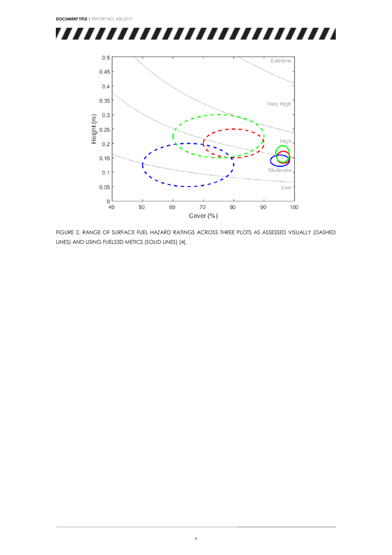



FIGURE 2. RANGE OF SURFACE FUEL HAZARD RATINGS ACROSS THREE PLOTS AS ASSESSED VISUALLY (DASHED LINES) AND USING FUELS3D METICS (SOLID LINES) [4].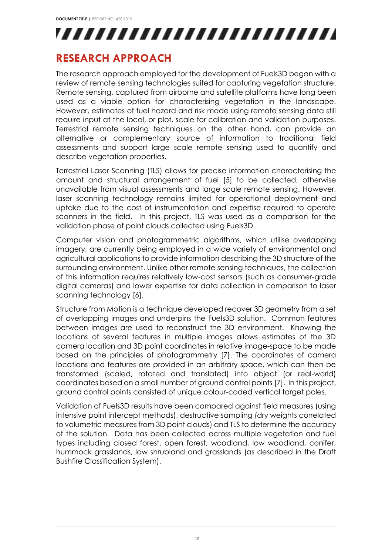

### <span id="page-10-0"></span>**RESEARCH APPROACH**

The research approach employed for the development of Fuels3D began with a review of remote sensing technologies suited for capturing vegetation structure. Remote sensing, captured from airborne and satellite platforms have long been used as a viable option for characterising vegetation in the landscape. However, estimates of fuel hazard and risk made using remote sensing data still require input at the local, or plot, scale for calibration and validation purposes. Terrestrial remote sensing techniques on the other hand, can provide an alternative or complementary source of information to traditional field assessments and support large scale remote sensing used to quantify and describe vegetation properties.

Terrestrial Laser Scanning (TLS) allows for precise information characterising the amount and structural arrangement of fuel [5] to be collected, otherwise unavailable from visual assessments and large scale remote sensing. However, laser scanning technology remains limited for operational deployment and uptake due to the cost of instrumentation and expertise required to operate scanners in the field. In this project, TLS was used as a comparison for the validation phase of point clouds collected using Fuels3D.

Computer vision and photogrammetric algorithms, which utilise overlapping imagery, are currently being employed in a wide variety of environmental and agricultural applications to provide information describing the 3D structure of the surrounding environment. Unlike other remote sensing techniques, the collection of this information requires relatively low-cost sensors (such as consumer-grade digital cameras) and lower expertise for data collection in comparison to laser scanning technology [6].

Structure from Motion is a technique developed recover 3D geometry from a set of overlapping images and underpins the Fuels3D solution. Common features between images are used to reconstruct the 3D environment. Knowing the locations of several features in multiple images allows estimates of the 3D camera location and 3D point coordinates in relative image-space to be made based on the principles of photogrammetry [7]. The coordinates of camera locations and features are provided in an arbitrary space, which can then be transformed (scaled, rotated and translated) into object (or real-world) coordinates based on a small number of ground control points [7]. In this project, ground control points consisted of unique colour-coded vertical target poles.

Validation of Fuels3D results have been compared against field measures (using intensive point intercept methods), destructive sampling (dry weights correlated to volumetric measures from 3D point clouds) and TLS to determine the accuracy of the solution. Data has been collected across multiple vegetation and fuel types including closed forest, open forest, woodland, low woodland, conifer, hummock grasslands, low shrubland and grasslands (as described in the Draft Bushfire Classification System).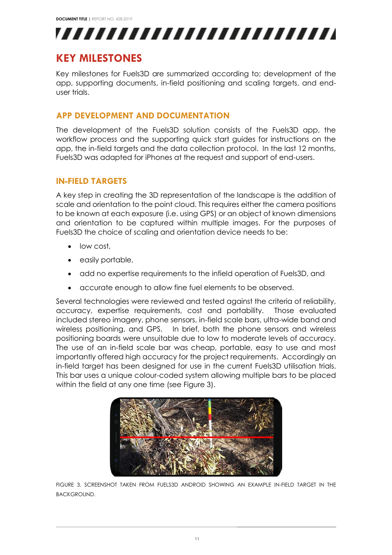

## <span id="page-11-0"></span>**KEY MILESTONES**

Key milestones for Fuels3D are summarized according to: development of the app, supporting documents, in-field positioning and scaling targets, and enduser trials.

#### <span id="page-11-1"></span>**APP DEVELOPMENT AND DOCUMENTATION**

The development of the Fuels3D solution consists of the Fuels3D app, the workflow process and the supporting quick start guides for instructions on the app, the in-field targets and the data collection protocol. In the last 12 months, Fuels3D was adapted for iPhones at the request and support of end-users.

#### <span id="page-11-2"></span>**IN-FIELD TARGETS**

A key step in creating the 3D representation of the landscape is the addition of scale and orientation to the point cloud. This requires either the camera positions to be known at each exposure (i.e. using GPS) or an object of known dimensions and orientation to be captured within multiple images. For the purposes of Fuels3D the choice of scaling and orientation device needs to be:

- low cost,
- easily portable,
- add no expertise requirements to the infield operation of Fuels3D, and
- accurate enough to allow fine fuel elements to be observed.

Several technologies were reviewed and tested against the criteria of reliability, accuracy, expertise requirements, cost and portability. Those evaluated included stereo imagery, phone sensors, in-field scale bars, ultra-wide band and wireless positioning, and GPS. In brief, both the phone sensors and wireless positioning boards were unsuitable due to low to moderate levels of accuracy. The use of an in-field scale bar was cheap, portable, easy to use and most importantly offered high accuracy for the project requirements. Accordingly an in-field target has been designed for use in the current Fuels3D utilisation trials. This bar uses a unique colour-coded system allowing multiple bars to be placed within the field at any one time (see Figure 3).



FIGURE 3. SCREENSHOT TAKEN FROM FUELS3D ANDROID SHOWING AN EXAMPLE IN-FIELD TARGET IN THE BACKGROUND.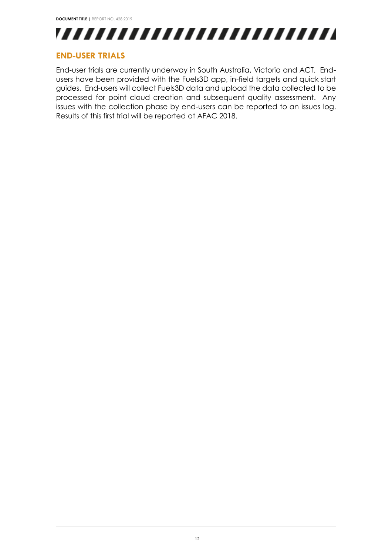

#### <span id="page-12-0"></span>**END-USER TRIALS**

End-user trials are currently underway in South Australia, Victoria and ACT. Endusers have been provided with the Fuels3D app, in-field targets and quick start guides. End-users will collect Fuels3D data and upload the data collected to be processed for point cloud creation and subsequent quality assessment. Any issues with the collection phase by end-users can be reported to an issues log. Results of this first trial will be reported at AFAC 2018.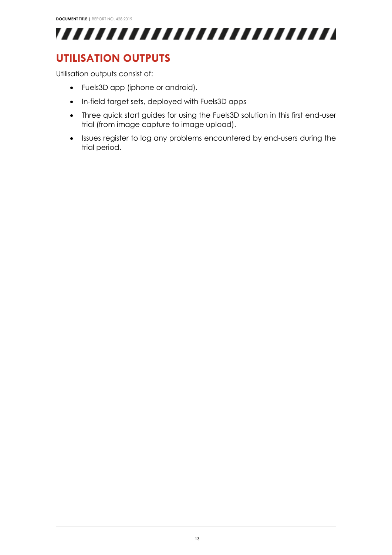

## <span id="page-13-0"></span>**UTILISATION OUTPUTS**

Utilisation outputs consist of:

- Fuels3D app (iphone or android).
- In-field target sets, deployed with Fuels3D apps
- Three quick start guides for using the Fuels3D solution in this first end-user trial (from image capture to image upload).
- Issues register to log any problems encountered by end-users during the trial period.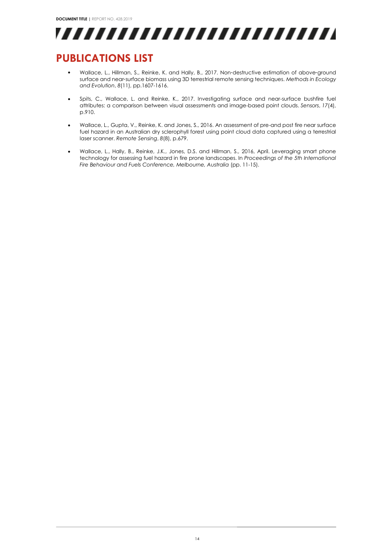

## <span id="page-14-0"></span>**PUBLICATIONS LIST**

- Wallace, L., Hillman, S., Reinke, K. and Hally, B., 2017. Non‐destructive estimation of above‐ground surface and near‐surface biomass using 3D terrestrial remote sensing techniques. *Methods in Ecology and Evolution*, *8*(11), pp.1607-1616.
- Spits, C., Wallace, L. and Reinke, K., 2017. Investigating surface and near-surface bushfire fuel attributes: a comparison between visual assessments and image-based point clouds. *Sensors*, *17*(4), p.910.
- Wallace, L., Gupta, V., Reinke, K. and Jones, S., 2016. An assessment of pre-and post fire near surface fuel hazard in an Australian dry sclerophyll forest using point cloud data captured using a terrestrial laser scanner. *Remote Sensing*, *8*(8), p.679.
- Wallace, L., Hally, B., Reinke, J.K., Jones, D.S. and Hillman, S., 2016, April. Leveraging smart phone technology for assessing fuel hazard in fire prone landscapes. In *Proceedings of the 5th International Fire Behaviour and Fuels Conference, Melbourne, Australia* (pp. 11-15).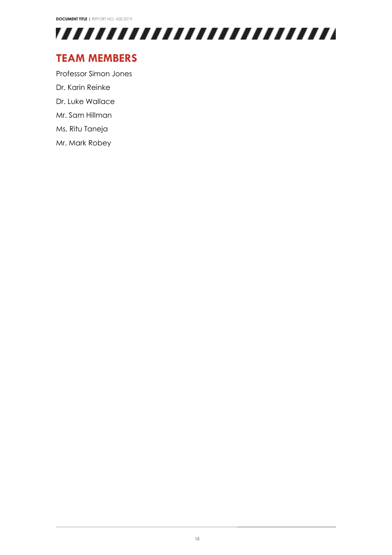

## <span id="page-15-0"></span>**TEAM MEMBERS**

Professor Simon Jones Dr. Karin Reinke Dr. Luke Wallace Mr. Sam Hillman

Ms. Ritu Taneja

Mr. Mark Robey